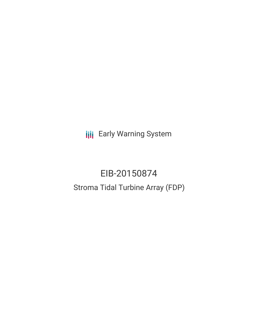**III** Early Warning System

# EIB-20150874 Stroma Tidal Turbine Array (FDP)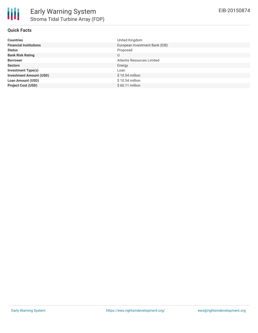

# **Quick Facts**

| <b>Countries</b>               | United Kingdom                 |
|--------------------------------|--------------------------------|
| <b>Financial Institutions</b>  | European Investment Bank (EIB) |
| <b>Status</b>                  | Proposed                       |
| <b>Bank Risk Rating</b>        | U                              |
| <b>Borrower</b>                | Atlantis Resources Limited     |
| <b>Sectors</b>                 | Energy                         |
| <b>Investment Type(s)</b>      | Loan                           |
| <b>Investment Amount (USD)</b> | $$10.54$ million               |
| <b>Loan Amount (USD)</b>       | $$10.54$ million               |
| <b>Project Cost (USD)</b>      | $$60.11$ million               |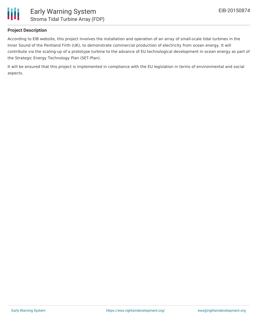

# **Project Description**

According to EIB website, this project involves the installation and operation of an array of small-scale tidal turbines in the Inner Sound of the Pentland Firth (UK), to demonstrate commercial production of electricity from ocean energy. It will contribute via the scaling-up of a prototype turbine to the advance of EU technological development in ocean energy as part of the Strategic Energy Technology Plan (SET-Plan).

It will be ensured that this project is implemented in compliance with the EU legislation in terms of environmental and social aspects.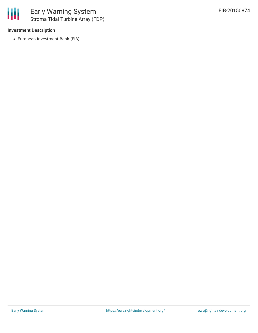### **Investment Description**

European Investment Bank (EIB)